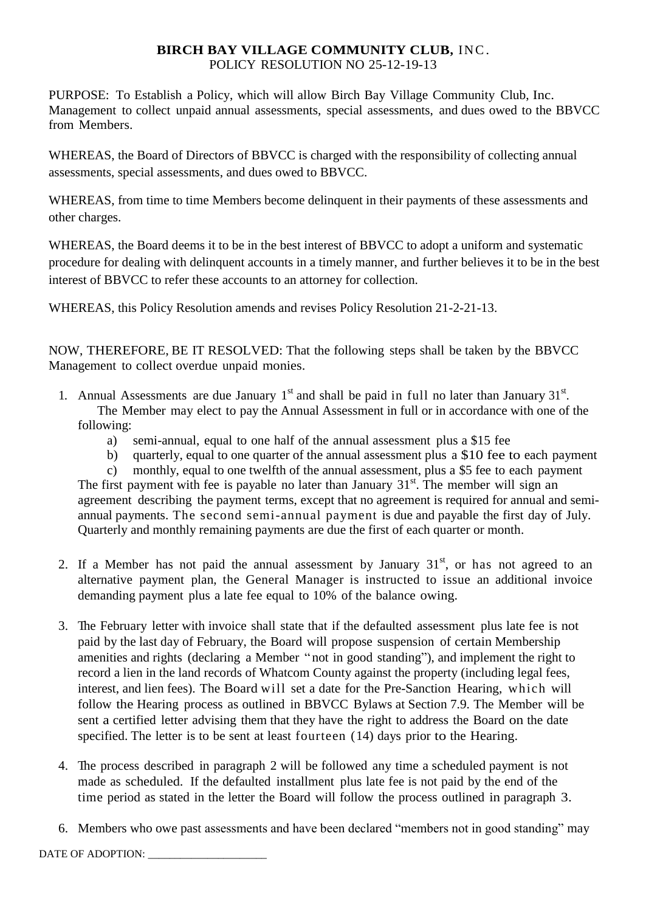# **BIRCH BAY VILLAGE COMMUNITY CLUB, INC.** POLICY RESOLUTION NO 25-12-19-13

PURPOSE: To Establish a Policy, which will allow Birch Bay Village Community Club, Inc. Management to collect unpaid annual assessments, special assessments, and dues owed to the BBVCC from Members.

WHEREAS, the Board of Directors of BBVCC is charged with the responsibility of collecting annual assessments, special assessments, and dues owed to BBVCC.

WHEREAS, from time to time Members become delinquent in their payments of these assessments and other charges.

WHEREAS, the Board deems it to be in the best interest of BBVCC to adopt a uniform and systematic procedure for dealing with delinquent accounts in a timely manner, and further believes it to be in the best interest of BBVCC to refer these accounts to an attorney for collection.

WHEREAS, this Policy Resolution amends and revises Policy Resolution 21-2-21-13.

NOW, THEREFORE, BE IT RESOLVED: That the following steps shall be taken by the BBVCC Management to collect overdue unpaid monies.

- 1. Annual Assessments are due January  $1<sup>st</sup>$  and shall be paid in full no later than January  $31<sup>st</sup>$ . The Member may elect to pay the Annual Assessment in full or in accordance with one of the following:
	- a) semi-annual, equal to one half of the annual assessment plus a \$15 fee
	- b) quarterly, equal to one quarter of the annual assessment plus a \$10 fee to each payment

c) monthly, equal to one twelfth of the annual assessment, plus a \$5 fee to each payment The first payment with fee is payable no later than January  $31<sup>st</sup>$ . The member will sign an agreement describing the payment terms, except that no agreement is required for annual and semiannual payments. The second semi-annual payment is due and payable the first day of July. Quarterly and monthly remaining payments are due the first of each quarter or month.

- 2. If a Member has not paid the annual assessment by January  $31<sup>st</sup>$ , or has not agreed to an alternative payment plan, the General Manager is instructed to issue an additional invoice demanding payment plus a late fee equal to 10% of the balance owing.
- 3. The February letter with invoice shall state that if the defaulted assessment plus late fee is not paid by the last day of February, the Board will propose suspension of certain Membership amenities and rights (declaring a Member " not in good standing"), and implement the right to record a lien in the land records of Whatcom County against the property (including legal fees, interest, and lien fees). The Board will set a date for the Pre-Sanction Hearing, which will follow the Hearing process as outlined in BBVCC Bylaws at Section 7.9. The Member will be sent a certified letter advising them that they have the right to address the Board on the date specified. The letter is to be sent at least fourteen (14) days prior to the Hearing.
- 4. The process described in paragraph 2 will be followed any time a scheduled payment is not made as scheduled. If the defaulted installment plus late fee is not paid by the end of the time period as stated in the letter the Board will follow the process outlined in paragraph 3.
- 6. Members who owe past assessments and have been declared "members not in good standing" may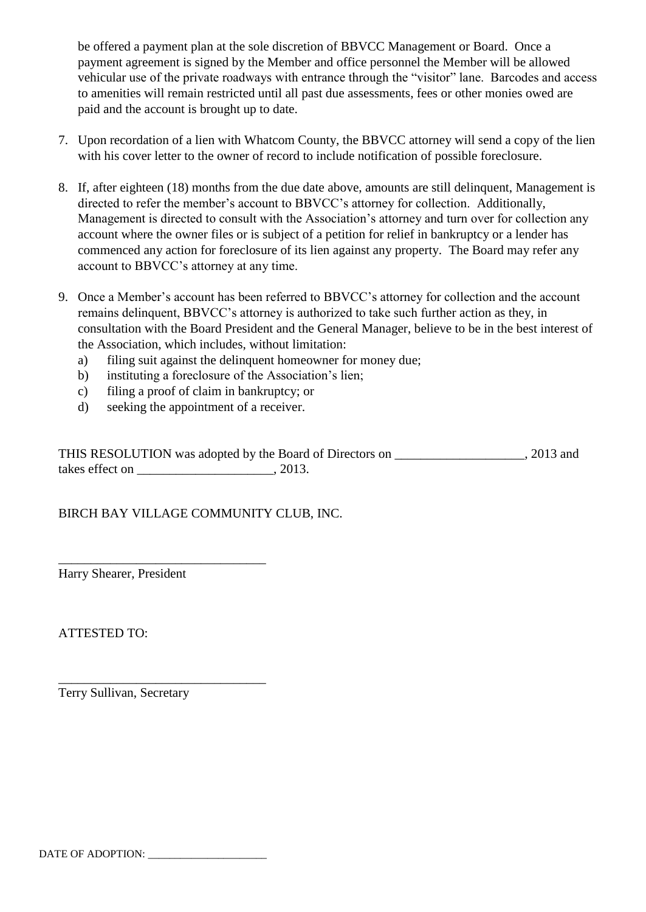be offered a payment plan at the sole discretion of BBVCC Management or Board. Once a payment agreement is signed by the Member and office personnel the Member will be allowed vehicular use of the private roadways with entrance through the "visitor" lane. Barcodes and access to amenities will remain restricted until all past due assessments, fees or other monies owed are paid and the account is brought up to date.

- 7. Upon recordation of a lien with Whatcom County, the BBVCC attorney will send a copy of the lien with his cover letter to the owner of record to include notification of possible foreclosure.
- 8. If, after eighteen (18) months from the due date above, amounts are still delinquent, Management is directed to refer the member's account to BBVCC's attorney for collection. Additionally, Management is directed to consult with the Association's attorney and turn over for collection any account where the owner files or is subject of a petition for relief in bankruptcy or a lender has commenced any action for foreclosure of its lien against any property. The Board may refer any account to BBVCC's attorney at any time.
- 9. Once a Member's account has been referred to BBVCC's attorney for collection and the account remains delinquent, BBVCC's attorney is authorized to take such further action as they, in consultation with the Board President and the General Manager, believe to be in the best interest of the Association, which includes, without limitation:
	- a) filing suit against the delinquent homeowner for money due;
	- b) instituting a foreclosure of the Association's lien;
	- c) filing a proof of claim in bankruptcy; or
	- d) seeking the appointment of a receiver.

THIS RESOLUTION was adopted by the Board of Directors on \_\_\_\_\_\_\_\_\_\_\_\_\_\_\_\_\_\_\_\_, 2013 and takes effect on \_\_\_\_\_\_\_\_\_\_\_\_\_\_\_\_\_\_\_\_\_, 2013.

BIRCH BAY VILLAGE COMMUNITY CLUB, INC.

Harry Shearer, President

\_\_\_\_\_\_\_\_\_\_\_\_\_\_\_\_\_\_\_\_\_\_\_\_\_\_\_\_\_\_\_\_

\_\_\_\_\_\_\_\_\_\_\_\_\_\_\_\_\_\_\_\_\_\_\_\_\_\_\_\_\_\_\_\_

ATTESTED TO:

Terry Sullivan, Secretary

DATE OF ADOPTION: \_\_\_\_\_\_\_\_\_\_\_\_\_\_\_\_\_\_\_\_\_\_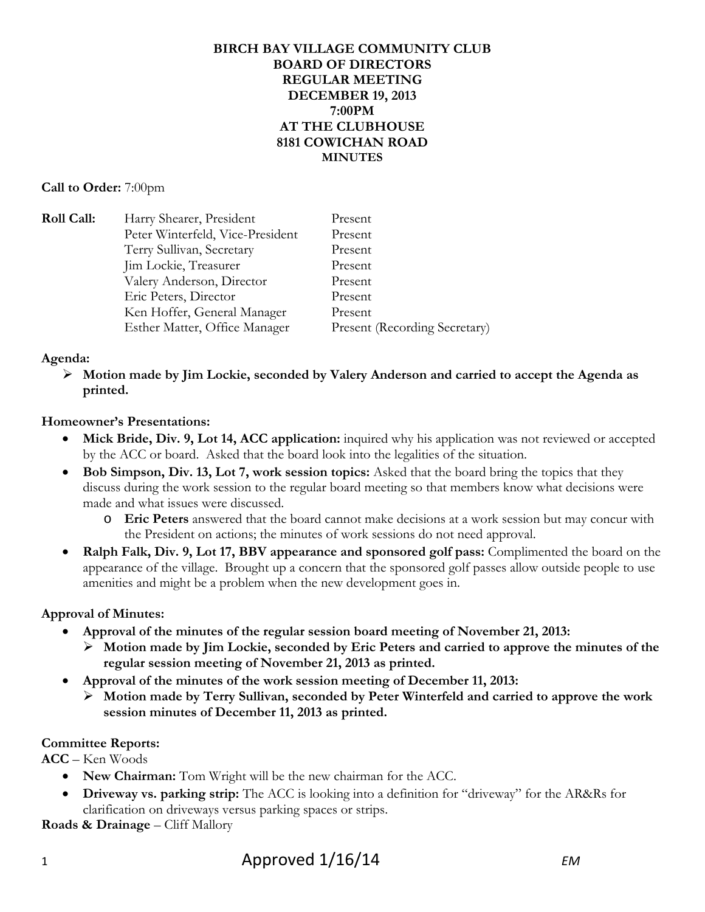#### **BIRCH BAY VILLAGE COMMUNITY CLUB BOARD OF DIRECTORS REGULAR MEETING DECEMBER 19, 2013 7:00PM AT THE CLUBHOUSE 8181 COWICHAN ROAD MINUTES**

#### **Call to Order:** 7:00pm

| <b>Roll Call:</b> | Harry Shearer, President         | Present                              |
|-------------------|----------------------------------|--------------------------------------|
|                   | Peter Winterfeld, Vice-President | Present                              |
|                   | Terry Sullivan, Secretary        | Present                              |
|                   | Jim Lockie, Treasurer            | Present                              |
|                   | Valery Anderson, Director        | Present                              |
|                   | Eric Peters, Director            | Present                              |
|                   | Ken Hoffer, General Manager      | Present                              |
|                   | Esther Matter, Office Manager    | <b>Present (Recording Secretary)</b> |

### **Agenda:**

 **Motion made by Jim Lockie, seconded by Valery Anderson and carried to accept the Agenda as printed.**

### **Homeowner's Presentations:**

- **Mick Bride, Div. 9, Lot 14, ACC application:** inquired why his application was not reviewed or accepted by the ACC or board. Asked that the board look into the legalities of the situation.
- Bob Simpson, Div. 13, Lot 7, work session topics: Asked that the board bring the topics that they discuss during the work session to the regular board meeting so that members know what decisions were made and what issues were discussed.
	- o **Eric Peters** answered that the board cannot make decisions at a work session but may concur with the President on actions; the minutes of work sessions do not need approval.
- **Ralph Falk, Div. 9, Lot 17, BBV appearance and sponsored golf pass:** Complimented the board on the appearance of the village. Brought up a concern that the sponsored golf passes allow outside people to use amenities and might be a problem when the new development goes in.

## **Approval of Minutes:**

- **Approval of the minutes of the regular session board meeting of November 21, 2013:** 
	- **Motion made by Jim Lockie, seconded by Eric Peters and carried to approve the minutes of the regular session meeting of November 21, 2013 as printed.**
- **Approval of the minutes of the work session meeting of December 11, 2013:** 
	- **Motion made by Terry Sullivan, seconded by Peter Winterfeld and carried to approve the work session minutes of December 11, 2013 as printed.**

## **Committee Reports:**

**ACC** – Ken Woods

- **New Chairman:** Tom Wright will be the new chairman for the ACC.
- **Driveway vs. parking strip:** The ACC is looking into a definition for "driveway" for the AR&Rs for clarification on driveways versus parking spaces or strips.

**Roads & Drainage – Cliff Mallory**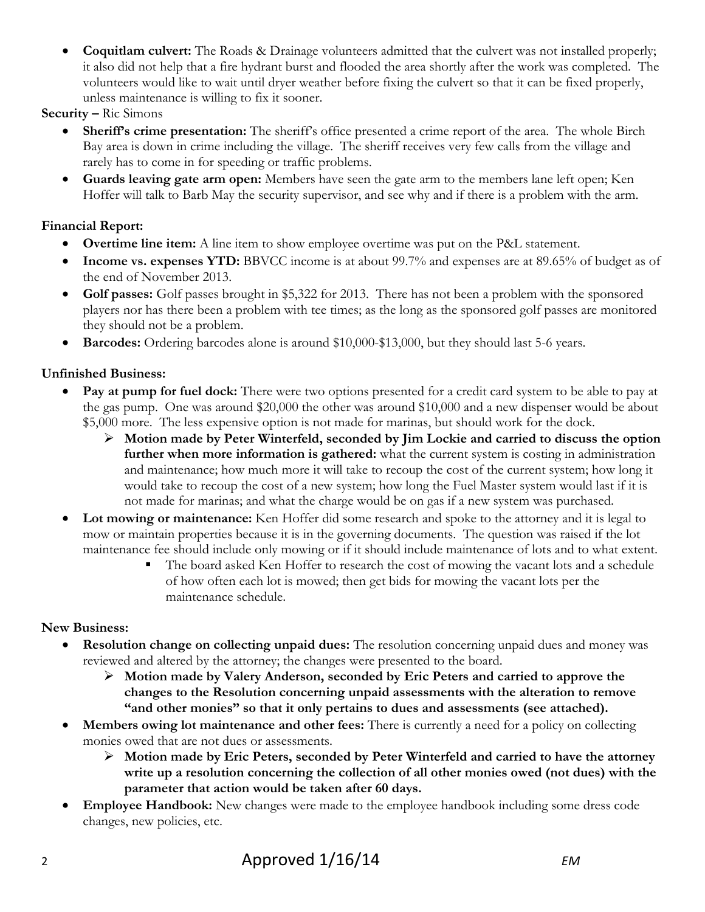- **Coquitlam culvert:** The Roads & Drainage volunteers admitted that the culvert was not installed properly; it also did not help that a fire hydrant burst and flooded the area shortly after the work was completed. The volunteers would like to wait until dryer weather before fixing the culvert so that it can be fixed properly, unless maintenance is willing to fix it sooner.
- **Security** Ric Simons
	- **Sheriff's crime presentation:** The sheriff's office presented a crime report of the area. The whole Birch Bay area is down in crime including the village. The sheriff receives very few calls from the village and rarely has to come in for speeding or traffic problems.
	- **Guards leaving gate arm open:** Members have seen the gate arm to the members lane left open; Ken Hoffer will talk to Barb May the security supervisor, and see why and if there is a problem with the arm.

# **Financial Report:**

- **Overtime line item:** A line item to show employee overtime was put on the P&L statement.
- Income vs. expenses YTD: BBVCC income is at about 99.7% and expenses are at 89.65% of budget as of the end of November 2013.
- Golf passes: Golf passes brought in \$5,322 for 2013. There has not been a problem with the sponsored players nor has there been a problem with tee times; as the long as the sponsored golf passes are monitored they should not be a problem.
- **Barcodes:** Ordering barcodes alone is around \$10,000-\$13,000, but they should last 5-6 years.

# **Unfinished Business:**

- **Pay at pump for fuel dock:** There were two options presented for a credit card system to be able to pay at the gas pump. One was around \$20,000 the other was around \$10,000 and a new dispenser would be about \$5,000 more. The less expensive option is not made for marinas, but should work for the dock.
	- **Motion made by Peter Winterfeld, seconded by Jim Lockie and carried to discuss the option further when more information is gathered:** what the current system is costing in administration and maintenance; how much more it will take to recoup the cost of the current system; how long it would take to recoup the cost of a new system; how long the Fuel Master system would last if it is not made for marinas; and what the charge would be on gas if a new system was purchased.
- **Lot mowing or maintenance:** Ken Hoffer did some research and spoke to the attorney and it is legal to mow or maintain properties because it is in the governing documents. The question was raised if the lot maintenance fee should include only mowing or if it should include maintenance of lots and to what extent.
	- The board asked Ken Hoffer to research the cost of mowing the vacant lots and a schedule of how often each lot is mowed; then get bids for mowing the vacant lots per the maintenance schedule.

# **New Business:**

- **Resolution change on collecting unpaid dues:** The resolution concerning unpaid dues and money was reviewed and altered by the attorney; the changes were presented to the board.
	- **Motion made by Valery Anderson, seconded by Eric Peters and carried to approve the changes to the Resolution concerning unpaid assessments with the alteration to remove "and other monies" so that it only pertains to dues and assessments (see attached).**
- **Members owing lot maintenance and other fees:** There is currently a need for a policy on collecting monies owed that are not dues or assessments.
	- **Motion made by Eric Peters, seconded by Peter Winterfeld and carried to have the attorney write up a resolution concerning the collection of all other monies owed (not dues) with the parameter that action would be taken after 60 days.**
- **Employee Handbook:** New changes were made to the employee handbook including some dress code changes, new policies, etc.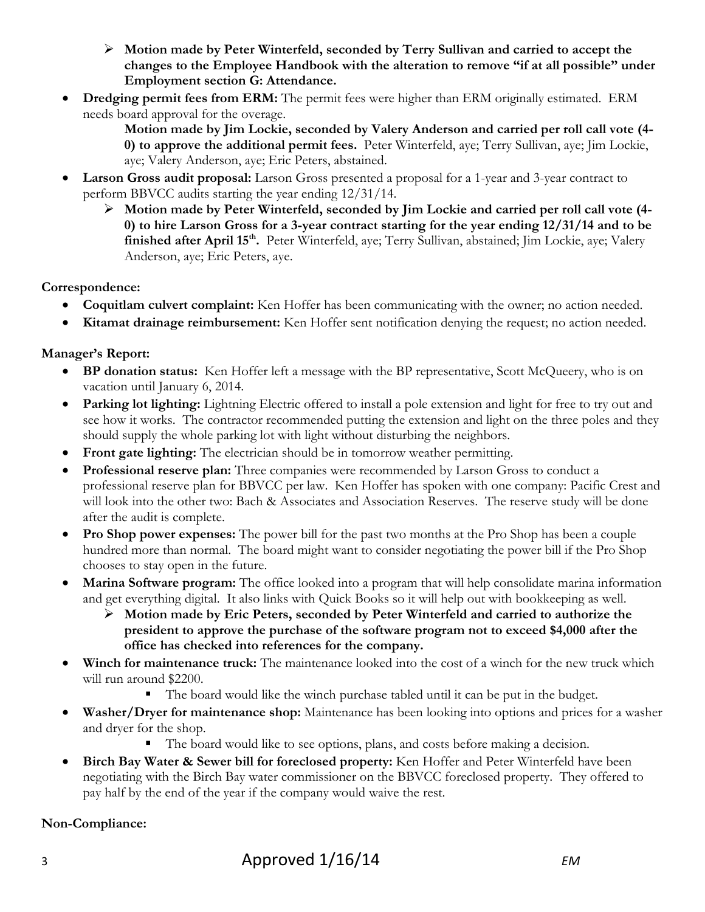- **Motion made by Peter Winterfeld, seconded by Terry Sullivan and carried to accept the changes to the Employee Handbook with the alteration to remove "if at all possible" under Employment section G: Attendance.**
- **Dredging permit fees from ERM:** The permit fees were higher than ERM originally estimated. ERM needs board approval for the overage.
	- **Motion made by Jim Lockie, seconded by Valery Anderson and carried per roll call vote (4- 0) to approve the additional permit fees.** Peter Winterfeld, aye; Terry Sullivan, aye; Jim Lockie, aye; Valery Anderson, aye; Eric Peters, abstained.
- **Larson Gross audit proposal:** Larson Gross presented a proposal for a 1-year and 3-year contract to perform BBVCC audits starting the year ending 12/31/14.
	- **Motion made by Peter Winterfeld, seconded by Jim Lockie and carried per roll call vote (4- 0) to hire Larson Gross for a 3-year contract starting for the year ending 12/31/14 and to be finished after April 15th.** Peter Winterfeld, aye; Terry Sullivan, abstained; Jim Lockie, aye; Valery Anderson, aye; Eric Peters, aye.

# **Correspondence:**

- **Coquitlam culvert complaint:** Ken Hoffer has been communicating with the owner; no action needed.
- **Kitamat drainage reimbursement:** Ken Hoffer sent notification denying the request; no action needed.

# **Manager's Report:**

- **BP donation status:** Ken Hoffer left a message with the BP representative, Scott McQueery, who is on vacation until January 6, 2014.
- **Parking lot lighting:** Lightning Electric offered to install a pole extension and light for free to try out and see how it works. The contractor recommended putting the extension and light on the three poles and they should supply the whole parking lot with light without disturbing the neighbors.
- **Front gate lighting:** The electrician should be in tomorrow weather permitting.
- **Professional reserve plan:** Three companies were recommended by Larson Gross to conduct a professional reserve plan for BBVCC per law. Ken Hoffer has spoken with one company: Pacific Crest and will look into the other two: Bach & Associates and Association Reserves. The reserve study will be done after the audit is complete.
- **Pro Shop power expenses:** The power bill for the past two months at the Pro Shop has been a couple hundred more than normal. The board might want to consider negotiating the power bill if the Pro Shop chooses to stay open in the future.
- **Marina Software program:** The office looked into a program that will help consolidate marina information and get everything digital. It also links with Quick Books so it will help out with bookkeeping as well.
	- **Motion made by Eric Peters, seconded by Peter Winterfeld and carried to authorize the president to approve the purchase of the software program not to exceed \$4,000 after the office has checked into references for the company.**
- **Winch for maintenance truck:** The maintenance looked into the cost of a winch for the new truck which will run around \$2200.
	- The board would like the winch purchase tabled until it can be put in the budget.
- **Washer/Dryer for maintenance shop:** Maintenance has been looking into options and prices for a washer and dryer for the shop.
	- The board would like to see options, plans, and costs before making a decision.
- **Birch Bay Water & Sewer bill for foreclosed property:** Ken Hoffer and Peter Winterfeld have been negotiating with the Birch Bay water commissioner on the BBVCC foreclosed property. They offered to pay half by the end of the year if the company would waive the rest.

## **Non-Compliance:**